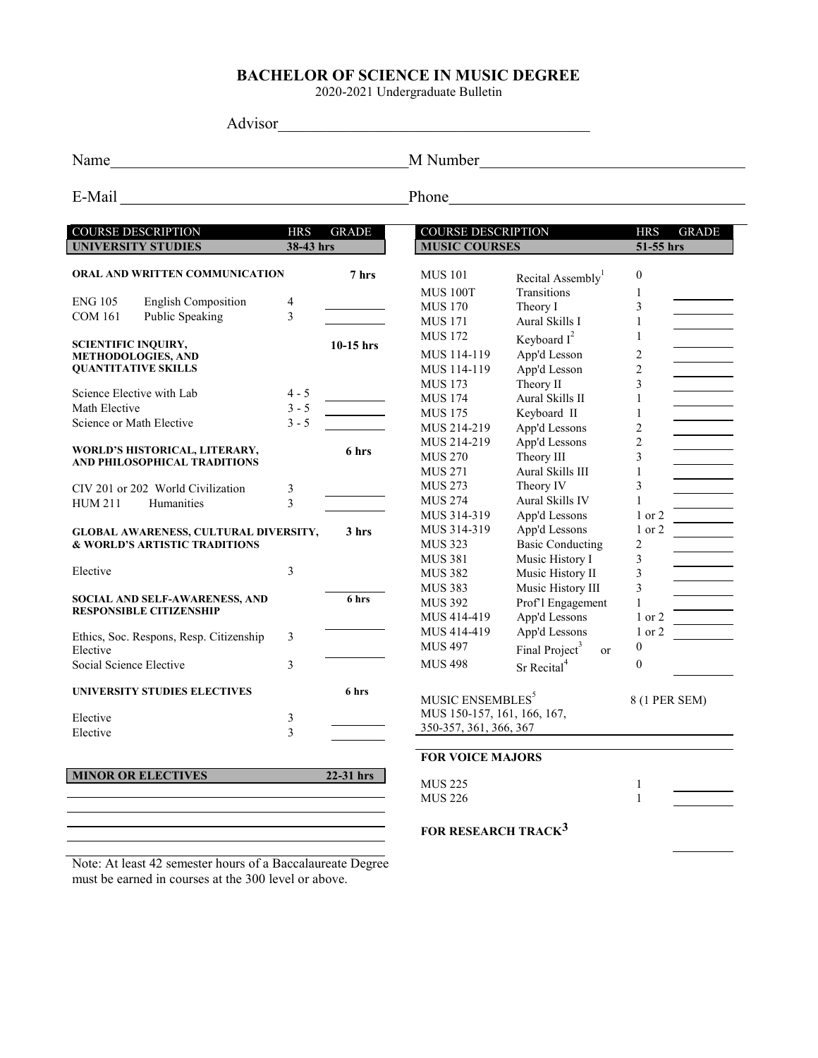# BACHELOR OF SCIENCE IN MUSIC DEGREE

2020-2021 Undergraduate Bulletin

Advisor\_\_\_\_\_\_\_\_\_\_\_\_\_\_\_\_\_\_\_\_\_\_\_\_\_\_\_\_\_\_\_\_\_\_\_\_\_\_\_

Name
M Number
M Number
M Number
M Number
M Number
M Number
M Number
M Number
M Number
M Number
M Number
M Number
M Number
M Number
M Number
M Number
M Number
M Number
M Number
M Number
M Number
M Number
M Number
M Number
M

E-Mail Phone Phone Phone Phone Phone Phone Phone Phone Phone Phone Phone Phone Phone Phone Phone Phone Phone Phone Phone Phone Phone Phone Phone Phone Phone Phone Phone Phone Phone Phone Phone Phone Phone Phone Phone Phone

| <b>COURSE DESCRIPTION</b><br><b>HRS</b><br>38-43 hrs    |                | <b>GRADE</b> | <b>COURSE DESCRIPTION</b><br><b>MUSIC COURSES</b> |                                         | <b>HRS</b><br><b>GRADE</b><br>51-55 hrs                                                                                                                                                                                                                                                         |  |
|---------------------------------------------------------|----------------|--------------|---------------------------------------------------|-----------------------------------------|-------------------------------------------------------------------------------------------------------------------------------------------------------------------------------------------------------------------------------------------------------------------------------------------------|--|
| <b>UNIVERSITY STUDIES</b>                               |                |              |                                                   |                                         |                                                                                                                                                                                                                                                                                                 |  |
| ORAL AND WRITTEN COMMUNICATION                          |                | 7 hrs        | <b>MUS</b> 101                                    | Recital Assembly <sup>1</sup>           | $\mathbf{0}$                                                                                                                                                                                                                                                                                    |  |
|                                                         |                |              | <b>MUS 100T</b>                                   | Transitions                             |                                                                                                                                                                                                                                                                                                 |  |
| <b>English Composition</b><br><b>ENG 105</b>            | 4              |              | <b>MUS 170</b>                                    | Theory I                                |                                                                                                                                                                                                                                                                                                 |  |
| Public Speaking<br><b>COM 161</b>                       | 3              |              | <b>MUS 171</b>                                    | Aural Skills I                          | 1                                                                                                                                                                                                                                                                                               |  |
|                                                         |                |              | <b>MUS 172</b>                                    | Keyboard $I^2$                          | 1                                                                                                                                                                                                                                                                                               |  |
| <b>SCIENTIFIC INQUIRY,</b>                              |                | $10-15$ hrs  | MUS 114-119                                       | App'd Lesson                            |                                                                                                                                                                                                                                                                                                 |  |
| <b>METHODOLOGIES, AND</b><br><b>QUANTITATIVE SKILLS</b> |                |              | MUS 114-119                                       | App'd Lesson                            |                                                                                                                                                                                                                                                                                                 |  |
|                                                         |                |              | <b>MUS 173</b>                                    | Theory II                               |                                                                                                                                                                                                                                                                                                 |  |
| Science Elective with Lab                               | $4 - 5$        |              | <b>MUS 174</b>                                    | Aural Skills II                         |                                                                                                                                                                                                                                                                                                 |  |
| Math Elective                                           | $3 - 5$        |              | <b>MUS 175</b>                                    | Keyboard II                             |                                                                                                                                                                                                                                                                                                 |  |
| Science or Math Elective                                | $3 - 5$        |              | MUS 214-219                                       | App'd Lessons                           |                                                                                                                                                                                                                                                                                                 |  |
|                                                         |                |              |                                                   | App'd Lessons                           |                                                                                                                                                                                                                                                                                                 |  |
| WORLD'S HISTORICAL, LITERARY,                           |                | 6 hrs        | MUS 214-219<br><b>MUS 270</b>                     | Theory III                              |                                                                                                                                                                                                                                                                                                 |  |
| AND PHILOSOPHICAL TRADITIONS                            |                |              | <b>MUS 271</b>                                    | Aural Skills III                        | 1<br>3<br>$\overline{2}$<br>$\overline{c}$<br>3<br>1<br>1<br>$\overline{c}$<br>$\overline{2}$<br>3<br>$\mathbf{1}$<br>3<br>$\mathbf{1}$<br>1 or 2<br>1 or 2<br>$\overline{2}$<br>3<br>$\mathfrak{Z}$<br>3<br>$\mathbf{1}$<br>1 or 2<br>1 or 2<br>$\mathbf{0}$<br>$\theta$<br>8 (1 PER SEM)<br>1 |  |
|                                                         |                |              | <b>MUS 273</b>                                    | Theory IV                               |                                                                                                                                                                                                                                                                                                 |  |
| CIV 201 or 202 World Civilization                       | 3              |              | <b>MUS 274</b>                                    | Aural Skills IV                         |                                                                                                                                                                                                                                                                                                 |  |
| Humanities<br><b>HUM 211</b>                            | 3              |              |                                                   |                                         |                                                                                                                                                                                                                                                                                                 |  |
|                                                         |                |              | MUS 314-319                                       | App'd Lessons                           |                                                                                                                                                                                                                                                                                                 |  |
| <b>GLOBAL AWARENESS, CULTURAL DIVERSITY,</b>            |                | 3 hrs        | MUS 314-319                                       | App'd Lessons                           |                                                                                                                                                                                                                                                                                                 |  |
| <b>&amp; WORLD'S ARTISTIC TRADITIONS</b>                |                |              | <b>MUS 323</b>                                    | <b>Basic Conducting</b>                 |                                                                                                                                                                                                                                                                                                 |  |
| Elective                                                | 3              |              | <b>MUS 381</b>                                    | Music History I                         |                                                                                                                                                                                                                                                                                                 |  |
|                                                         |                |              | <b>MUS 382</b>                                    | Music History II                        |                                                                                                                                                                                                                                                                                                 |  |
| SOCIAL AND SELF-AWARENESS, AND                          |                | 6 hrs        | <b>MUS 383</b>                                    | Music History III                       |                                                                                                                                                                                                                                                                                                 |  |
| <b>RESPONSIBLE CITIZENSHIP</b>                          |                |              | <b>MUS 392</b>                                    | Prof'l Engagement                       |                                                                                                                                                                                                                                                                                                 |  |
|                                                         |                |              | MUS 414-419                                       | App'd Lessons                           |                                                                                                                                                                                                                                                                                                 |  |
| Ethics, Soc. Respons, Resp. Citizenship                 | 3              |              | MUS 414-419                                       | App'd Lessons                           |                                                                                                                                                                                                                                                                                                 |  |
| Elective                                                |                |              | <b>MUS 497</b>                                    | Final Project <sup>3</sup><br><b>or</b> |                                                                                                                                                                                                                                                                                                 |  |
| Social Science Elective                                 | 3              |              | <b>MUS 498</b>                                    | Sr Recital <sup>4</sup>                 |                                                                                                                                                                                                                                                                                                 |  |
| UNIVERSITY STUDIES ELECTIVES                            |                | 6 hrs        | MUSIC ENSEMBLES <sup>5</sup>                      |                                         |                                                                                                                                                                                                                                                                                                 |  |
|                                                         |                |              | MUS 150-157, 161, 166, 167,                       |                                         |                                                                                                                                                                                                                                                                                                 |  |
| Elective                                                | $\mathfrak{Z}$ |              | 350-357, 361, 366, 367                            |                                         |                                                                                                                                                                                                                                                                                                 |  |
| Elective                                                | 3              |              |                                                   |                                         |                                                                                                                                                                                                                                                                                                 |  |
|                                                         |                |              | <b>FOR VOICE MAJORS</b>                           |                                         |                                                                                                                                                                                                                                                                                                 |  |
| <b>MINOR OR ELECTIVES</b>                               |                | 22-31 hrs    | <b>MUS 225</b>                                    |                                         |                                                                                                                                                                                                                                                                                                 |  |
|                                                         |                |              | <b>MUS 226</b>                                    |                                         | $\mathbf{1}$                                                                                                                                                                                                                                                                                    |  |
|                                                         |                |              | FOR RESEARCH TRACK <sup>3</sup>                   |                                         |                                                                                                                                                                                                                                                                                                 |  |

Note: At least 42 semester hours of a Baccalaureate Degree must be earned in courses at the 300 level or above.